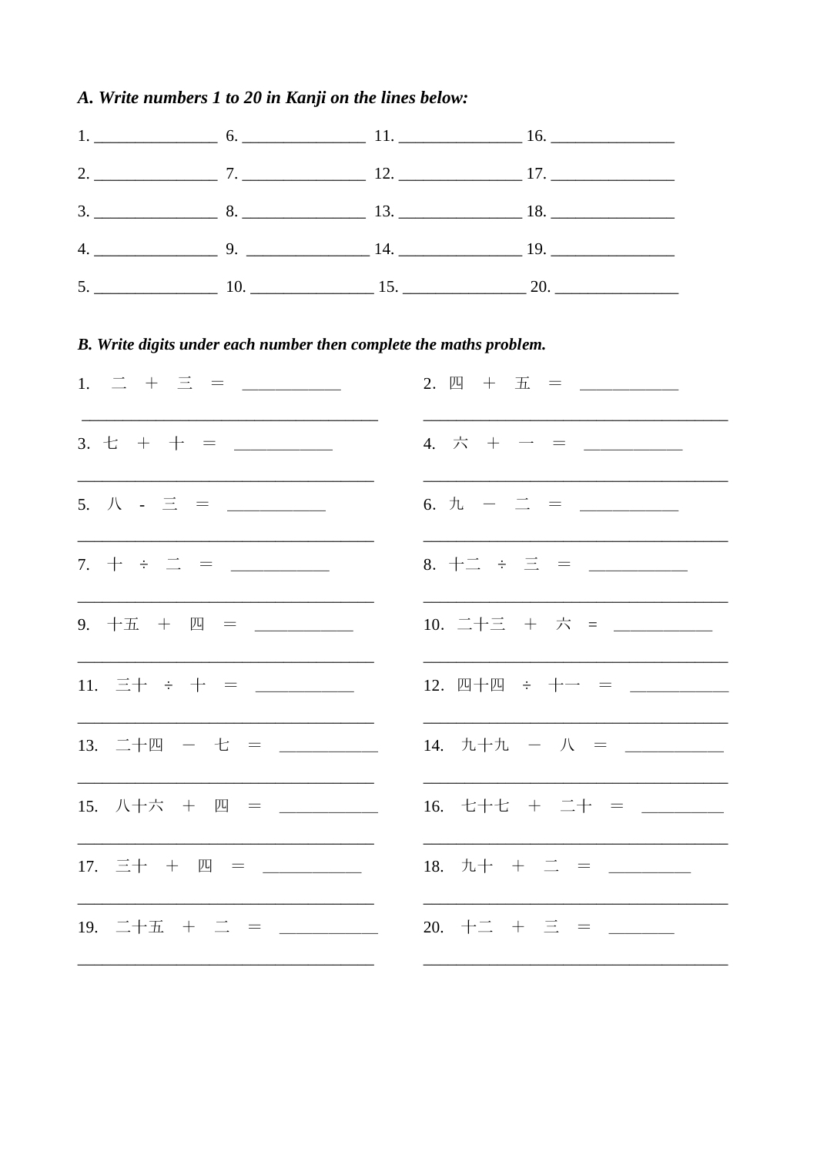## A. Write numbers 1 to 20 in Kanji on the lines below:

## B. Write digits under each number then complete the maths problem.

| 1. $\equiv$ + $\equiv$ = ______                                   | $2. \ \ \mathbb{E} + \ \overline{\pm} = \ \ \_ \ \ \_ \ \ \_ \ \ \_ \ \$                                                                                                                                                                                                                                               |
|-------------------------------------------------------------------|------------------------------------------------------------------------------------------------------------------------------------------------------------------------------------------------------------------------------------------------------------------------------------------------------------------------|
|                                                                   | 4. $\dot{\pi}$ + - = ________                                                                                                                                                                                                                                                                                          |
| 5. $\mathcal{N}$ - $\Xi$ = _______                                |                                                                                                                                                                                                                                                                                                                        |
| 7. $+$ $\div$ $\equiv$ $=$ $\frac{\ }{\ }$                        | 8. $+2 \div \Xi =$ _________                                                                                                                                                                                                                                                                                           |
|                                                                   |                                                                                                                                                                                                                                                                                                                        |
| 11. $\Xi$ + $\div$ + = ________                                   | 12. 四十四 ÷ 十一 = _________                                                                                                                                                                                                                                                                                               |
| 13. 二十四 - 七 = _________                                           | 14. $\frac{1}{2}$ $\frac{1}{2}$ $\frac{1}{2}$ $\frac{1}{2}$ $\frac{1}{2}$ $\frac{1}{2}$ $\frac{1}{2}$ $\frac{1}{2}$ $\frac{1}{2}$ $\frac{1}{2}$ $\frac{1}{2}$ $\frac{1}{2}$ $\frac{1}{2}$ $\frac{1}{2}$ $\frac{1}{2}$ $\frac{1}{2}$ $\frac{1}{2}$ $\frac{1}{2}$ $\frac{1}{2}$ $\frac{1}{2}$ $\frac{1}{2}$ $\frac{1}{2$ |
| 15. 八十六 + 四 = ________                                            | 16. 七十七 + 二十 = _______                                                                                                                                                                                                                                                                                                 |
| 17. $\equiv$ $+$ $\mu$ $=$ $\_\_\_\_\_\_\_\_\_\_\_\_\_\_\_\_\_\_$ | 18. $\hbar + \pm =$ = ______                                                                                                                                                                                                                                                                                           |
|                                                                   |                                                                                                                                                                                                                                                                                                                        |